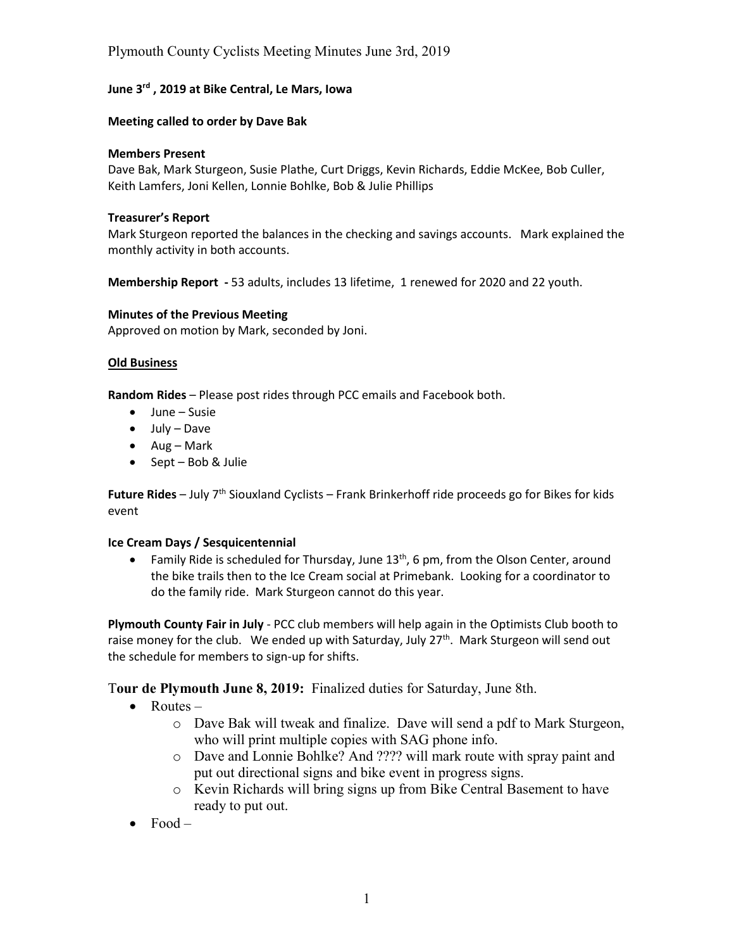# Plymouth County Cyclists Meeting Minutes June 3rd, 2019

## **June 3<sup>rd</sup>, 2019 at Bike Central, Le Mars, Iowa**

### **Meeting called to order by Dave Bak**

#### **Members Present**

Dave Bak, Mark Sturgeon, Susie Plathe, Curt Driggs, Kevin Richards, Eddie McKee, Bob Culler, Keith Lamfers, Joni Kellen, Lonnie Bohlke, Bob & Julie Phillips

### Treasurer's Report

Mark Sturgeon reported the balances in the checking and savings accounts. Mark explained the monthly activity in both accounts.

**Membership Report** - 53 adults, includes 13 lifetime, 1 renewed for 2020 and 22 youth.

#### **Minutes of the Previous Meeting**

Approved on motion by Mark, seconded by Joni.

## **Old%Business**

Random Rides - Please post rides through PCC emails and Facebook both.

- $\bullet$  June Susie
- $\bullet$  July Dave
- $\bullet$  Aug Mark
- $\bullet$  Sept Bob & Julie

Future Rides - July 7<sup>th</sup> Siouxland Cyclists - Frank Brinkerhoff ride proceeds go for Bikes for kids event

## **Ice Cream Days / Sesquicentennial**

**• Family Ride is scheduled for Thursday, June**  $13^{th}$ **, 6 pm, from the Olson Center, around** the bike trails then to the Ice Cream social at Primebank. Looking for a coordinator to do the family ride. Mark Sturgeon cannot do this year.

Plymouth County Fair in July - PCC club members will help again in the Optimists Club booth to raise money for the club. We ended up with Saturday, July 27<sup>th</sup>. Mark Sturgeon will send out the schedule for members to sign-up for shifts.

T**our de Plymouth June 8, 2019:** Finalized duties for Saturday, June 8th.

- $\bullet$  Routes  $$ 
	- o Dave Bak will tweak and finalize. Dave will send a pdf to Mark Sturgeon, who will print multiple copies with SAG phone info.
	- o Dave and Lonnie Bohlke? And ???? will mark route with spray paint and put out directional signs and bike event in progress signs.
	- o Kevin Richards will bring signs up from Bike Central Basement to have ready to put out.
- $\bullet$  Food  $-$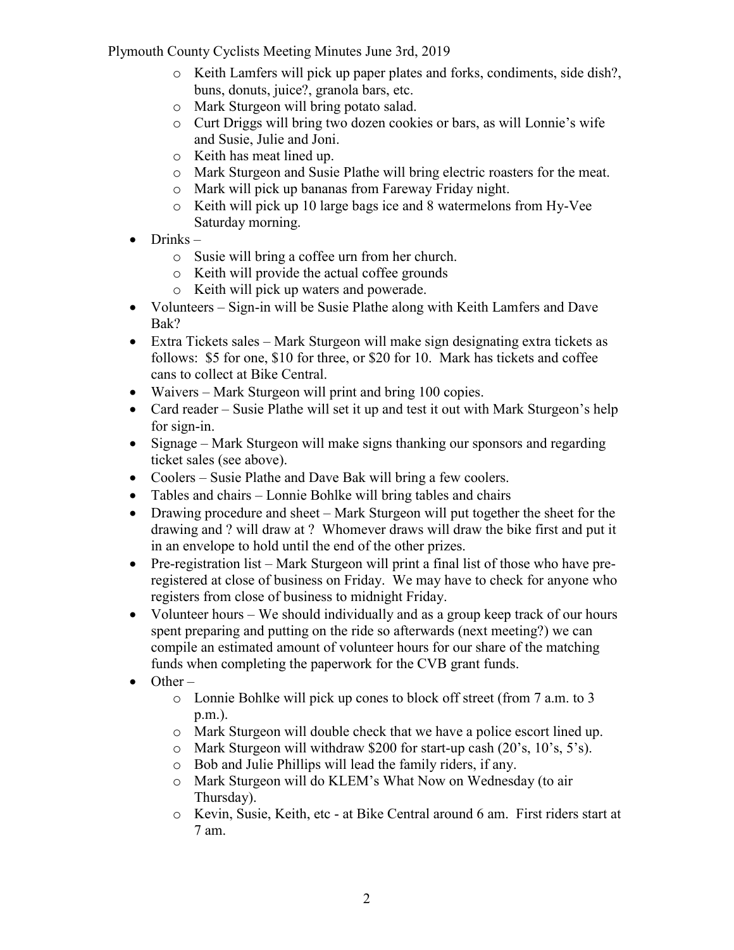Plymouth County Cyclists Meeting Minutes June 3rd, 2019

- o Keith Lamfers will pick up paper plates and forks, condiments, side dish?, buns, donuts, juice?, granola bars, etc.
- o Mark Sturgeon will bring potato salad.
- $\circ$  Curt Driggs will bring two dozen cookies or bars, as will Lonnie's wife and Susie, Julie and Joni.
- o Keith has meat lined up.
- o Mark Sturgeon and Susie Plathe will bring electric roasters for the meat.
- o Mark will pick up bananas from Fareway Friday night.
- o Keith will pick up 10 large bags ice and 8 watermelons from Hy-Vee Saturday morning.
- $\bullet$  Drinks
	- o Susie will bring a coffee urn from her church.
	- o Keith will provide the actual coffee grounds
	- o Keith will pick up waters and powerade.
- Volunteers  $-$  Sign-in will be Susie Plathe along with Keith Lamfers and Dave Bak?
- Extra Tickets sales  $-\text{Mark Sturgeon will make sign designing extra tickets as }$ follows: \$5 for one, \$10 for three, or \$20 for 10. Mark has tickets and coffee cans to collect at Bike Central.
- $\bullet$  Waivers Mark Sturgeon will print and bring 100 copies.
- Card reader Susie Plathe will set it up and test it out with Mark Sturgeon's help for sign-in.
- Signage  $-$  Mark Sturgeon will make signs thanking our sponsors and regarding ticket sales (see above).
- Coolers  $-$  Susie Plathe and Dave Bak will bring a few coolers.
- $\bullet$  Tables and chairs  $-$  Lonnie Bohlke will bring tables and chairs
- Drawing procedure and sheet  $-\text{Mark Sturgeon will put together the sheet for the}$ drawing and ? will draw at ? Whomever draws will draw the bike first and put it in an envelope to hold until the end of the other prizes.
- $\bullet$  Pre-registration list Mark Sturgeon will print a final list of those who have preregistered at close of business on Friday. We may have to check for anyone who registers from close of business to midnight Friday.
- Volunteer hours  $-$  We should individually and as a group keep track of our hours spent preparing and putting on the ride so afterwards (next meeting?) we can compile an estimated amount of volunteer hours for our share of the matching funds when completing the paperwork for the CVB grant funds.
- $\bullet$  Other
	- o Lonnie Bohlke will pick up cones to block off street (from 7 a.m. to 3 p.m.).
	- o Mark Sturgeon will double check that we have a police escort lined up.
	- o Mark Sturgeon will withdraw \$200 for start-up cash  $(20)$ 's,  $10$ 's,  $5$ 's).
	- o Bob and Julie Phillips will lead the family riders, if any.
	- $\circ$  Mark Sturgeon will do KLEM's What Now on Wednesday (to air Thursday).
	- o Kevin, Susie, Keith, etc at Bike Central around 6 am. First riders start at 7 am.